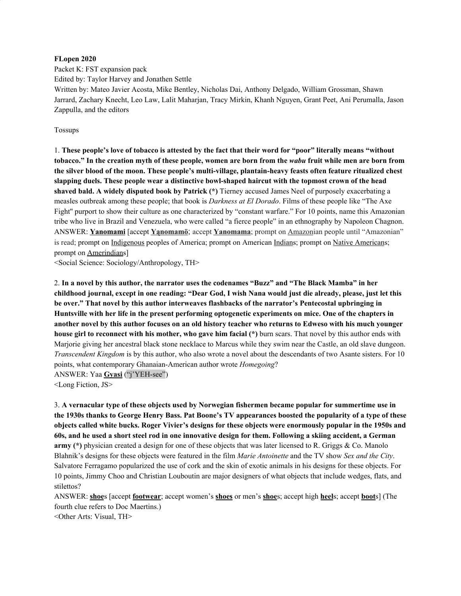#### **FLopen 2020**

Packet K: FST expansion pack

Edited by: Taylor Harvey and Jonathen Settle

Written by: Mateo Javier Acosta, Mike Bentley, Nicholas Dai, Anthony Delgado, William Grossman, Shawn Jarrard, Zachary Knecht, Leo Law, Lalit Maharjan, Tracy Mirkin, Khanh Nguyen, Grant Peet, Ani Perumalla, Jason Zappulla, and the editors

Tossups

1. These people's love of tobacco is attested by the fact that their word for "poor" literally means "without tobacco." In the creation myth of these people, women are born from the wabu fruit while men are born from **the silver blood of the moon. These people's multi-village, plantain-heavy feasts often feature ritualized chest slapping duels. These people wear a distinctive bowl-shaped haircut with the topmost crown of the head shaved bald. A widely disputed book by Patrick (\*)** Tierney accused James Neel of purposely exacerbating a measles outbreak among these people; that book is *Darkness at El Dorado*. Films of these people like "The Axe Fight'' purport to show their culture as one characterized by "constant warfare." For 10 points, name this Amazonian tribe who live in Brazil and Venezuela, who were called "a fierce people" in an ethnography by Napoleon Chagnon. ANSWER: **Yanomami** [accept **Yąnomamö**; accept **Yanomama**; prompt on Amazonian people until "Amazonian" is read; prompt on Indigenous peoples of America; prompt on American Indians; prompt on Native Americans; prompt on Amerindians]

<Social Science: Sociology/Anthropology, TH>

2. **In a novel by this author, the narrator uses the codenames "Buzz" and "The Black Mamba" in her** childhood journal, except in one reading: "Dear God, I wish Nana would just die already, please, just let this **be over." That novel by this author interweaves flashbacks of the narrator's Pentecostal upbringing in** Huntsville with her life in the present performing optogenetic experiments on mice. One of the chapters in another novel by this author focuses on an old history teacher who returns to Edweso with his much younger **house girl to reconnect with his mother, who gave him facial (\*)** burn scars. That novel by this author ends with Marjorie giving her ancestral black stone necklace to Marcus while they swim near the Castle, an old slave dungeon. *Transcendent Kingdom* is by this author, who also wrote a novel about the descendants of two Asante sisters. For 10 points, what contemporary Ghanaian-American author wrote *Homegoing*? ANSWER: Yaa **Gyasi** ("j'YEH-see")

<Long Fiction, JS>

3. **A vernacular type of these objects used by Norwegian fishermen became popular for summertime use in** the 1930s thanks to George Henry Bass. Pat Boone's TV appearances boosted the popularity of a type of these objects called white bucks. Roger Vivier's designs for these objects were enormously popular in the 1950s and 60s, and he used a short steel rod in one innovative design for them. Following a skiing accident, a German **army (\*)** physician created a design for one of these objects that was later licensed to R. Griggs & Co. Manolo Blahnik's designs for these objects were featured in the film *Marie Antoinette* and the TV show *Sex and the City*. Salvatore Ferragamo popularized the use of cork and the skin of exotic animals in his designs for these objects. For 10 points, Jimmy Choo and Christian Louboutin are major designers of what objects that include wedges, flats, and stilettos?

ANSWER: **shoe**s [accept **footwear**; accept women's **shoes** or men's **shoe**s; accept high **heel**s; accept **boot**s] (The fourth clue refers to Doc Maertins.)

<Other Arts: Visual, TH>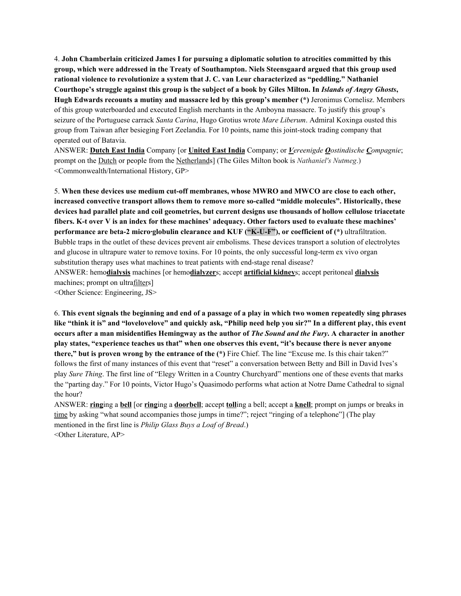4. **John Chamberlain criticized James I for pursuing a diplomatic solution to atrocities committed by this group, which were addressed in the Treaty of Southampton. Niels Steensgaard argued that this group used rational violence to revolutionize a system that J. C. van Leur characterized as "peddling." Nathaniel** Courthope's struggle against this group is the subject of a book by Giles Milton. In Islands of Angry Ghosts, **Hugh Edwards recounts a mutiny and massacre led by this group's member (\*)** Jeronimus Cornelisz. Members of this group waterboarded and executed English merchants in the Amboyna massacre. To justify this group's seizure of the Portuguese carrack *Santa Carina*, Hugo Grotius wrote *Mare Liberum*. Admiral Koxinga ousted this group from Taiwan after besieging Fort Zeelandia. For 10 points, name this joint-stock trading company that operated out of Batavia.

ANSWER: **Dutch East India** Company [or **United East India** Company; or *Vereenigde Oostindische Compagnie*; prompt on the Dutch or people from the Netherlands] (The Giles Milton book is *Nathaniel's Nutmeg*.) <Commonwealth/International History, GP>

5. **When these devices use medium cut-off membranes, whose MWRO and MWCO are close to each other, increased convective transport allows them to remove more so-called "middle molecules". Historically, these devices had parallel plate and coil geometries, but current designs use thousands of hollow cellulose triacetate** fibers. K-t over V is an index for these machines' adequacy. Other factors used to evaluate these machines' **performance are beta-2 micro·globulin clearance and KUF ("K-U-F"), or coefficient of (\*)** ultrafiltration. Bubble traps in the outlet of these devices prevent air embolisms. These devices transport a solution of electrolytes and glucose in ultrapure water to remove toxins. For 10 points, the only successful long-term ex vivo organ substitution therapy uses what machines to treat patients with end-stage renal disease? ANSWER: hemo**dialysis** machines [or hemo**dialyzer**s; accept **artificial kidney**s; accept peritoneal **dialysis** machines; prompt on ultrafilters]

<Other Science: Engineering, JS>

6. This event signals the beginning and end of a passage of a play in which two women repeatedly sing phrases like "think it is" and "lovelovelove" and quickly ask, "Philip need help you sir?" In a different play, this event occurs after a man misidentifies Hemingway as the author of *The Sound and the Fury*. A character in another play states, "experience teaches us that" when one observes this event, "it's because there is never anyone **there," but is proven wrong by the entrance of the (\*)** Fire Chief. The line "Excuse me. Is this chair taken?" follows the first of many instances of this event that "reset" a conversation between Betty and Bill in David Ives's play *Sure Thing*. The first line of "Elegy Written in a Country Churchyard" mentions one of these events that marks the "parting day." For 10 points, Victor Hugo's Quasimodo performs what action at Notre Dame Cathedral to signal the hour?

ANSWER: **ring**ing a **bell** [or **ring**ing a **doorbell**; accept **toll**ing a bell; accept a **knell**; prompt on jumps or breaks in time by asking "what sound accompanies those jumps in time?"; reject "ringing of a telephone"] (The play mentioned in the first line is *Philip Glass Buys a Loaf of Bread*.) <Other Literature, AP>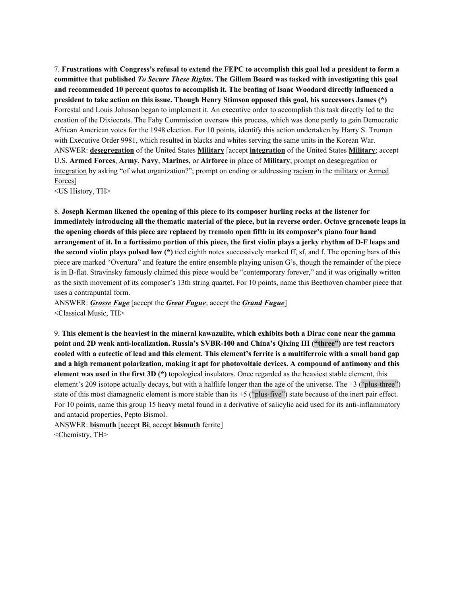7. Frustrations with Congress's refusal to extend the FEPC to accomplish this goal led a president to form a **committee that published** *To Secure These Rights***. The Gillem Board was tasked with investigating this goal and recommended 10 percent quotas to accomplish it. The beating of Isaac Woodard directly influenced a president to take action on this issue. Though Henry Stimson opposed this goal, his successors James (\*)** Forrestal and Louis Johnson began to implement it. An executive order to accomplish this task directly led to the creation of the Dixiecrats. The Fahy Commission oversaw this process, which was done partly to gain Democratic African American votes for the 1948 election. For 10 points, identify this action undertaken by Harry S. Truman with Executive Order 9981, which resulted in blacks and whites serving the same units in the Korean War. ANSWER: **desegregation** of the United States **Military** [accept **integration** of the United States **Military**; accept U.S. **Armed Forces**, **Army**, **Navy**, **Marines**, or **Airforce** in place of **Military**; prompt on desegregation or integration by asking "of what organization?"; prompt on ending or addressing racism in the military or Armed Forces]

<US History, TH>

8. **Joseph Kerman likened the opening of this piece to its composer hurling rocks at the listener for** immediately introducing all the thematic material of the piece, but in reverse order. Octave gracenote leaps in the opening chords of this piece are replaced by tremolo open fifth in its composer's piano four hand arrangement of it. In a fortissimo portion of this piece, the first violin plays a jerky rhythm of D-F leaps and **the second violin plays pulsed low (\*)** tied eighth notes successively marked ff, sf, and f. The opening bars of this piece are marked "Overtura" and feature the entire ensemble playing unison G's, though the remainder of the piece is in B-flat. Stravinsky famously claimed this piece would be "contemporary forever," and it was originally written as the sixth movement of its composer's 13th string quartet. For 10 points, name this Beethoven chamber piece that uses a contrapuntal form.

ANSWER: *Grosse Fuge* [accept the *Great Fugue*; accept the *Grand Fugue*] <Classical Music, TH>

9. This element is the heaviest in the mineral kawazulite, which exhibits both a Dirac cone near the gamma **point and 2D weak anti-localization. Russia's SVBR-100 and China's Qixing III ("three") are test reactors** cooled with a eutectic of lead and this element. This element's ferrite is a multiferroic with a small band gap **and a high remanent polarization, making it apt for photovoltaic devices. A compound of antimony and this element was used in the first 3D (\*)** topological insulators. Once regarded as the heaviest stable element, this element's 209 isotope actually decays, but with a halflife longer than the age of the universe. The +3 ("plus-three") state of this most diamagnetic element is more stable than its +5 ("plus-five") state because of the inert pair effect. For 10 points, name this group 15 heavy metal found in a derivative of salicylic acid used for its anti-inflammatory and antacid properties, Pepto Bismol.

ANSWER: **bismuth** [accept **Bi**; accept **bismuth** ferrite] <Chemistry, TH>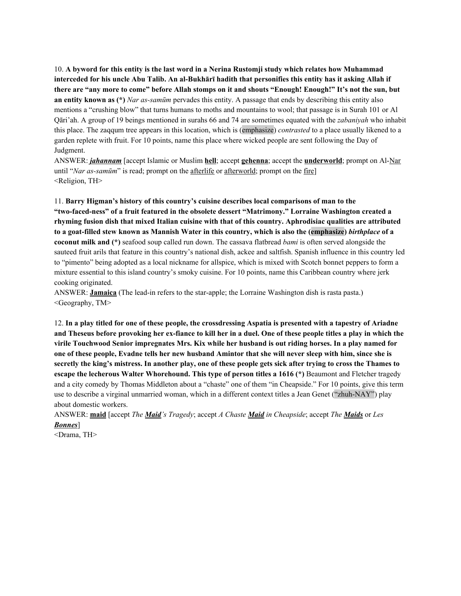10. A byword for this entity is the last word in a Nerina Rustomji study which relates how Muhammad interceded for his uncle Abu Talib. An al-Bukhārī hadith that personifies this entity has it asking Allah if there are "any more to come" before Allah stomps on it and shouts "Enough! Enough!" It's not the sun, but **an entity known as (\*)** *Nar as-samūm* pervades this entity. A passage that ends by describing this entity also mentions a "crushing blow" that turns humans to moths and mountains to wool; that passage is in Surah 101 or Al Qāri'ah. A group of 19 beings mentioned in surahs 66 and 74 are sometimes equated with the *zabaniyah* who inhabit this place. The zaqqum tree appears in this location, which is (emphasize) *contrasted* to a place usually likened to a garden replete with fruit. For 10 points, name this place where wicked people are sent following the Day of Judgment.

ANSWER: *jahannam* [accept Islamic or Muslim **hell**; accept **gehenna**; accept the **underworld**; prompt on Al-Nar until "*Nar as-samūm*" is read; prompt on the afterlife or afterworld; prompt on the fire] <Religion, TH>

11. **Barry Higman's history of this country's cuisine describes local comparisons of man to the "two-faced-ness" of a fruit featured in the obsolete dessert "Matrimony." Lorraine Washington created a rhyming fusion dish that mixed Italian cuisine with that of this country. Aphrodisiac qualities are attributed** to a goat-filled stew known as Mannish Water in this country, which is also the (emphasize) birthplace of a **coconut milk and (\*)** seafood soup called run down. The cassava flatbread *bami* is often served alongside the sauteed fruit arils that feature in this country's national dish, ackee and saltfish. Spanish influence in this country led to "pimento" being adopted as a local nickname for allspice, which is mixed with Scotch bonnet peppers to form a mixture essential to this island country's smoky cuisine. For 10 points, name this Caribbean country where jerk cooking originated.

ANSWER: **Jamaica** (The lead-in refers to the star-apple; the Lorraine Washington dish is rasta pasta.) <Geography, TM>

12. In a play titled for one of these people, the crossdressing Aspatia is presented with a tapestry of Ariadne and Theseus before provoking her ex-fiance to kill her in a duel. One of these people titles a play in which the virile Touchwood Senior impregnates Mrs. Kix while her husband is out riding horses. In a play named for one of these people, Evadne tells her new husband Amintor that she will never sleep with him, since she is secretly the king's mistress. In another play, one of these people gets sick after trying to cross the Thames to **escape the lecherous Walter Whorehound. This type of person titles a 1616 (\*)** Beaumont and Fletcher tragedy and a city comedy by Thomas Middleton about a "chaste" one of them "in Cheapside." For 10 points, give this term use to describe a virginal unmarried woman, which in a different context titles a Jean Genet ("zhuh-NAY") play about domestic workers.

ANSWER: **maid** [accept *The Maid's Tragedy*; accept *A Chaste Maid in Cheapside*; accept *The Maids* or *Les Bonnes*]

<Drama, TH>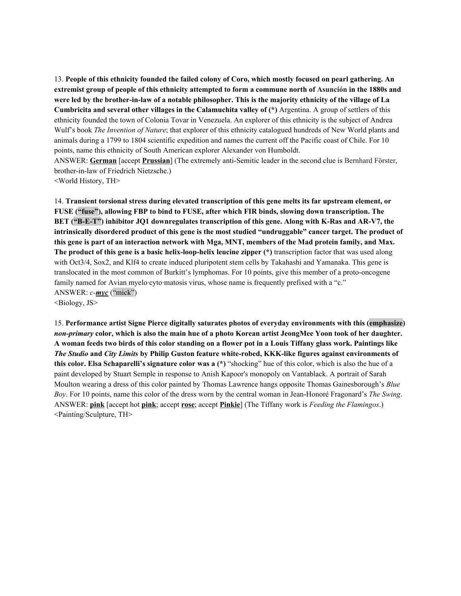13. People of this ethnicity founded the failed colony of Coro, which mostly focused on pearl gathering. An extremist group of people of this ethnicity attempted to form a commune north of Asunción in the 1880s and were led by the brother-in-law of a notable philosopher. This is the majority ethnicity of the village of La **Cumbricita and several other villages in the Calamuchita valley of (\*)** Argentina. A group of settlers of this ethnicity founded the town of Colonia Tovar in Venezuela. An explorer of this ethnicity is the subject of Andrea Wulf's book *The Invention of Nature*; that explorer of this ethnicity catalogued hundreds of New World plants and animals during a 1799 to 1804 scientific expedition and names the current off the Pacific coast of Chile. For 10 points, name this ethnicity of South American explorer Alexander von Humboldt. ANSWER: **German** [accept **Prussian**] (The extremely anti-Semitic leader in the second clue is Bernhard Förster,

brother-in-law of Friedrich Nietzsche.)

<World History, TH>

14. **Transient torsional stress during elevated transcription of this gene melts its far upstream element, or FUSE ("fuse"), allowing FBP to bind to FUSE, after which FIR binds, slowing down transcription. The BET ("B-E-T") inhibitor JQ1 downregulates transcription of this gene. Along with K-Ras and AR-V7, the intrinsically disordered product of this gene is the most studied "undruggable" cancer target. The product of** this gene is part of an interaction network with Mga, MNT, members of the Mad protein family, and Max. **The product of this gene is a basic helix-loop-helix leucine zipper (\*)** transcription factor that was used along with Oct3/4, Sox2, and Klf4 to create induced pluripotent stem cells by Takahashi and Yamanaka. This gene is translocated in the most common of Burkitt's lymphomas. For 10 points, give this member of a proto-oncogene family named for Avian myelo·cyto·matosis virus, whose name is frequently prefixed with a "c." ANSWER: *c-myc* ("mick")

<Biology, JS>

15. **Performance artist Signe Pierce digitally saturates photos of everyday environments with this (emphasize)** non-primary color, which is also the main hue of a photo Korean artist JeongMee Yoon took of her daughter. A woman feeds two birds of this color standing on a flower pot in a Louis Tiffany glass work. Paintings like *The Studio* **and** *City Limits* **by Philip Guston feature white-robed, KKK-like figures against environments of this color. Elsa Schaparelli's signature color was a (\*)** "shocking" hue of this color, which is also the hue of a paint developed by Stuart Semple in response to Anish Kapoor's monopoly on Vantablack. A portrait of Sarah Moulton wearing a dress of this color painted by Thomas Lawrence hangs opposite Thomas Gainesborough's *Blue Boy*. For 10 points, name this color of the dress worn by the central woman in Jean-Honoré Fragonard's *The Swing*. ANSWER: **pink** [accept hot **pink**; accept **rose**; accept **Pinkie**] (The Tiffany work is *Feeding the Flamingos*.) <Painting/Sculpture, TH>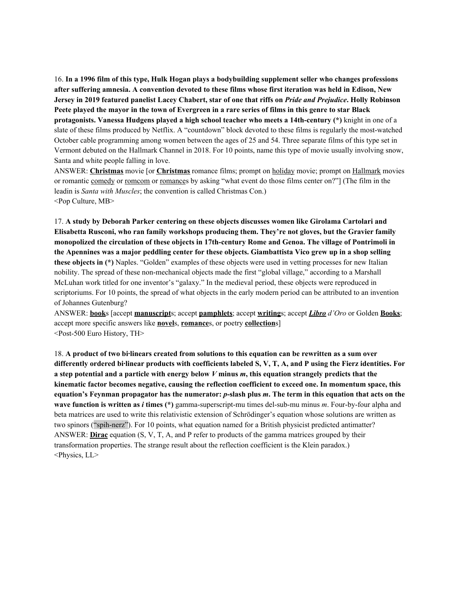16. In a 1996 film of this type, Hulk Hogan plays a bodybuilding supplement seller who changes professions after suffering amnesia. A convention devoted to these films whose first iteration was held in Edison, New Jersey in 2019 featured panelist Lacey Chabert, star of one that riffs on *Pride and Prejudice*. Holly Robinson Peete played the mayor in the town of Evergreen in a rare series of films in this genre to star Black **protagonists. Vanessa Hudgens played a high school teacher who meets a 14th-century (\*)** knight in one of a slate of these films produced by Netflix. A "countdown" block devoted to these films is regularly the most-watched October cable programming among women between the ages of 25 and 54. Three separate films of this type set in Vermont debuted on the Hallmark Channel in 2018. For 10 points, name this type of movie usually involving snow, Santa and white people falling in love.

ANSWER: **Christmas** movie [or **Christmas** romance films; prompt on holiday movie; prompt on Hallmark movies or romantic comedy or romcom or romances by asking "what event do those films center on?"] (The film in the leadin is *Santa with Muscles*; the convention is called Christmas Con.) <Pop Culture, MB>

17. **A study by Deborah Parker centering on these objects discusses women like Girolama Cartolari and Elisabetta Rusconi, who ran family workshops producing them. They're not gloves, but the Gravier family monopolized the circulation of these objects in 17th-century Rome and Genoa. The village of Pontrimoli in** the Apennines was a major peddling center for these objects. Giambattista Vico grew up in a shop selling **these objects in (\*)** Naples. "Golden" examples of these objects were used in vetting processes for new Italian nobility. The spread of these non-mechanical objects made the first "global village," according to a Marshall McLuhan work titled for one inventor's "galaxy." In the medieval period, these objects were reproduced in scriptoriums. For 10 points, the spread of what objects in the early modern period can be attributed to an invention of Johannes Gutenburg?

ANSWER: **book**s [accept **manuscript**s; accept **pamphlets**; accept **writing**s; accept *Libro d'Oro* or Golden **Books**; accept more specific answers like **novel**s, **romance**s, or poetry **collection**s] <Post-500 Euro History, TH>

18. A product of two bi-linears created from solutions to this equation can be rewritten as a sum over differently ordered bi-linear products with coefficients labeled S, V, T, A, and P using the Fierz identities. For a step potential and a particle with energy below  $V$  minus  $m$ , this equation strangely predicts that the **kinematic factor becomes negative, causing the reflection coefficient to exceed one. In momentum space, this** equation's Feynman propagator has the numerator: p-slash plus m. The term in this equation that acts on the **wave function is written as** *i* **times (\*)** gamma-superscript-mu times del-sub-mu minus *m*. Four-by-four alpha and beta matrices are used to write this relativistic extension of Schrödinger's equation whose solutions are written as two spinors ("spih-nerz"). For 10 points, what equation named for a British physicist predicted antimatter? ANSWER: **Dirac** equation (S, V, T, A, and P refer to products of the gamma matrices grouped by their transformation properties. The strange result about the reflection coefficient is the Klein paradox.) <Physics, LL>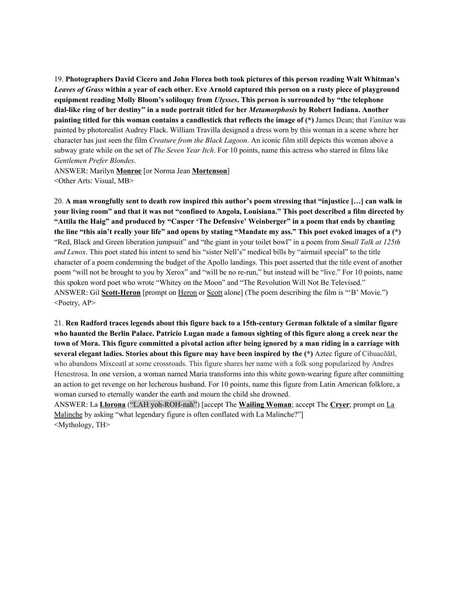19. **Photographers David Cicero and John Florea both took pictures of this person reading Walt Whitman's** Leaves of Grass within a year of each other. Eve Arnold captured this person on a rusty piece of playground **equipment reading Molly Bloom's soliloquy from** *Ulysses***. This person is surrounded by "the telephone dial-like ring of her destiny" in a nude portrait titled for her** *Metamorphosis* **by Robert Indiana. Another painting titled for this woman contains a candlestick that reflects the image of (\*)** James Dean; that *Vanitas* was painted by photorealist Audrey Flack. William Travilla designed a dress worn by this woman in a scene where her character has just seen the film *Creature from the Black Lagoon*. An iconic film still depicts this woman above a subway grate while on the set of *The Seven Year Itch*. For 10 points, name this actress who starred in films like *Gentlemen Prefer Blondes*.

ANSWER: Marilyn **Monroe** [or Norma Jean **Mortenson**] <Other Arts: Visual, MB>

20. A man wrongfully sent to death row inspired this author's poem stressing that "injustice [...] can walk in your living room" and that it was not "confined to Angola, Louisiana." This poet described a film directed by **"Attila the Haig" and produced by "Casper 'The Defensive' Weinberger" in a poem that ends by chanting** the line "this ain't really your life" and opens by stating "Mandate my ass." This poet evoked images of a (\*) "Red, Black and Green liberation jumpsuit" and "the giant in your toilet bowl" in a poem from *Small Talk at 125th and Lenox*. This poet stated his intent to send his "sister Nell's" medical bills by "airmail special" to the title character of a poem condemning the budget of the Apollo landings. This poet asserted that the title event of another poem "will not be brought to you by Xerox" and "will be no re-run," but instead will be "live." For 10 points, name this spoken word poet who wrote "Whitey on the Moon" and "The Revolution Will Not Be Televised." ANSWER: Gil **Scott-Heron** [prompt on Heron or Scott alone] (The poem describing the film is "'B' Movie.")  $\leq$ Poetry, AP $>$ 

21. Ren Radford traces legends about this figure back to a 15th-century German folktale of a similar figure who haunted the Berlin Palace. Patricio Lugan made a famous sighting of this figure along a creek near the town of Mora. This figure committed a pivotal action after being ignored by a man riding in a carriage with **several elegant ladies. Stories about this figure may have been inspired by the (\*)** Aztec figure of Cihuacōātl, who abandons Mixcoatl at some crossroads. This figure shares her name with a folk song popularized by Andres Henestrosa. In one version, a woman named Maria transforms into this white gown-wearing figure after committing an action to get revenge on her lecherous husband. For 10 points, name this figure from Latin American folklore, a woman cursed to eternally wander the earth and mourn the child she drowned.

ANSWER: La **Llorona** ("LAH yoh-ROH-nah") [accept The **Wailing Woman**; accept The **Cryer**; prompt on La Malinche by asking "what legendary figure is often conflated with La Malinche?"] <Mythology, TH>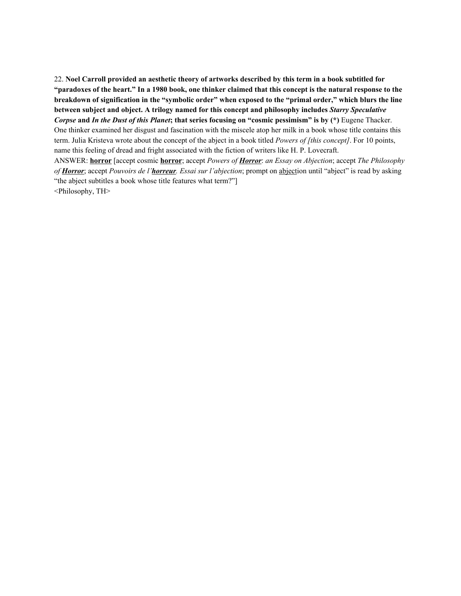22. **Noel Carroll provided an aesthetic theory of artworks described by this term in a book subtitled for** "paradoxes of the heart." In a 1980 book, one thinker claimed that this concept is the natural response to the breakdown of signification in the "symbolic order" when exposed to the "primal order," which blurs the line **between subject and object. A trilogy named for this concept and philosophy includes** *Starry Speculative* Corpse and In the Dust of this Planet; that series focusing on "cosmic pessimism" is by (\*) Eugene Thacker. One thinker examined her disgust and fascination with the miscele atop her milk in a book whose title contains this term. Julia Kristeva wrote about the concept of the abject in a book titled *Powers of [this concept]*. For 10 points, name this feeling of dread and fright associated with the fiction of writers like H. P. Lovecraft. ANSWER: **horror** [accept cosmic **horror**; accept *Powers of Horror*: *an Essay on Abjection*; accept *The Philosophy*

*of Horror*; accept *Pouvoirs de l'horreur. Essai sur l'abjection*; prompt on abjection until "abject" is read by asking "the abject subtitles a book whose title features what term?"]

<Philosophy, TH>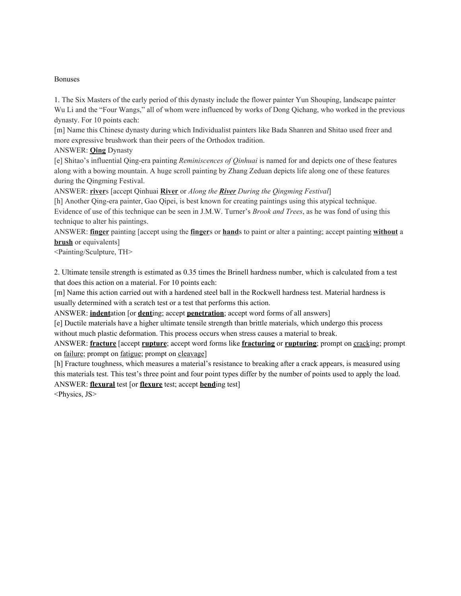#### Bonuses

1. The Six Masters of the early period of this dynasty include the flower painter Yun Shouping, landscape painter Wu Li and the "Four Wangs," all of whom were influenced by works of Dong Qichang, who worked in the previous dynasty. For 10 points each:

[m] Name this Chinese dynasty during which Individualist painters like Bada Shanren and Shitao used freer and more expressive brushwork than their peers of the Orthodox tradition.

ANSWER: **Qing** Dynasty

[e] Shitao's influential Qing-era painting *Reminiscences of Qinhuai* is named for and depicts one of these features along with a bowing mountain. A huge scroll painting by Zhang Zeduan depicts life along one of these features during the Qingming Festival.

ANSWER: **river**s [accept Qinhuai **River** or *Along the River During the Qingming Festival*]

[h] Another Qing-era painter, Gao Qipei, is best known for creating paintings using this atypical technique. Evidence of use of this technique can be seen in J.M.W. Turner's *Brook and Trees*, as he was fond of using this technique to alter his paintings.

ANSWER: **finger** painting [accept using the **finger**s or **hand**s to paint or alter a painting; accept painting **without** a **brush** or equivalents]

<Painting/Sculpture, TH>

2. Ultimate tensile strength is estimated as 0.35 times the Brinell hardness number, which is calculated from a test that does this action on a material. For 10 points each:

[m] Name this action carried out with a hardened steel ball in the Rockwell hardness test. Material hardness is usually determined with a scratch test or a test that performs this action.

ANSWER: **indent**ation [or **dent**ing; accept **penetration**; accept word forms of all answers]

[e] Ductile materials have a higher ultimate tensile strength than brittle materials, which undergo this process without much plastic deformation. This process occurs when stress causes a material to break.

ANSWER: **fracture** [accept **rupture**; accept word forms like **fracturing** or **rupturing**; prompt on cracking; prompt on failure; prompt on fatigue; prompt on cleavage]

[h] Fracture toughness, which measures a material's resistance to breaking after a crack appears, is measured using this materials test. This test's three point and four point types differ by the number of points used to apply the load. ANSWER: **flexural** test [or **flexure** test; accept **bend**ing test]

<Physics, JS>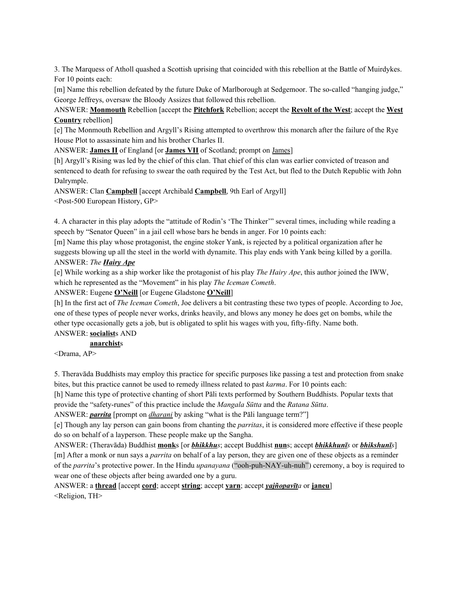3. The Marquess of Atholl quashed a Scottish uprising that coincided with this rebellion at the Battle of Muirdykes. For 10 points each:

[m] Name this rebellion defeated by the future Duke of Marlborough at Sedgemoor. The so-called "hanging judge," George Jeffreys, oversaw the Bloody Assizes that followed this rebellion.

ANSWER: **Monmouth** Rebellion [accept the **Pitchfork** Rebellion; accept the **Revolt of the West**; accept the **West Country** rebellion]

[e] The Monmouth Rebellion and Argyll's Rising attempted to overthrow this monarch after the failure of the Rye House Plot to assassinate him and his brother Charles II.

ANSWER: **James II** of England [or **James VII** of Scotland; prompt on James]

[h] Argyll's Rising was led by the chief of this clan. That chief of this clan was earlier convicted of treason and sentenced to death for refusing to swear the oath required by the Test Act, but fled to the Dutch Republic with John Dalrymple.

ANSWER: Clan **Campbell** [accept Archibald **Campbell**, 9th Earl of Argyll] <Post-500 European History, GP>

4. A character in this play adopts the "attitude of Rodin's 'The Thinker'" several times, including while reading a speech by "Senator Queen" in a jail cell whose bars he bends in anger. For 10 points each:

[m] Name this play whose protagonist, the engine stoker Yank, is rejected by a political organization after he suggests blowing up all the steel in the world with dynamite. This play ends with Yank being killed by a gorilla. ANSWER: *The Hairy Ape*

[e] While working as a ship worker like the protagonist of his play *The Hairy Ape*, this author joined the IWW, which he represented as the "Movement" in his play *The Iceman Cometh*.

ANSWER: Eugene **O'Neill** [or Eugene Gladstone **O'Neill**]

[h] In the first act of *The Iceman Cometh*, Joe delivers a bit contrasting these two types of people. According to Joe, one of these types of people never works, drinks heavily, and blows any money he does get on bombs, while the other type occasionally gets a job, but is obligated to split his wages with you, fifty-fifty. Name both. ANSWER: **socialist**s AND

# **anarchist**s

<Drama, AP>

5. Theravāda Buddhists may employ this practice for specific purposes like passing a test and protection from snake bites, but this practice cannot be used to remedy illness related to past *karma*. For 10 points each:

[h] Name this type of protective chanting of short Pāli texts performed by Southern Buddhists. Popular texts that provide the "safety-runes" of this practice include the *Mangala Sūtta* and the *Ratana Sūtta*.

ANSWER: *parrita* [prompt on *dharani* by asking "what is the Pāli language term?"]

[e] Though any lay person can gain boons from chanting the *parritas*, it is considered more effective if these people do so on behalf of a layperson. These people make up the Sangha.

ANSWER: (Theravāda) Buddhist **monk**s [or *bhikkhus*; accept Buddhist **nun**s; accept *bhikkhunīs* or *bhikshunīs*] [m] After a monk or nun says a *parrita* on behalf of a lay person, they are given one of these objects as a reminder of the *parrita*'s protective power. In the Hindu *upanayana* ("ooh-puh-NAY-uh-nuh") ceremony, a boy is required to wear one of these objects after being awarded one by a guru.

ANSWER: a **thread** [accept **cord**; accept **string**; accept **yarn**; accept *yajñopavīta* or **janeu**] <Religion, TH>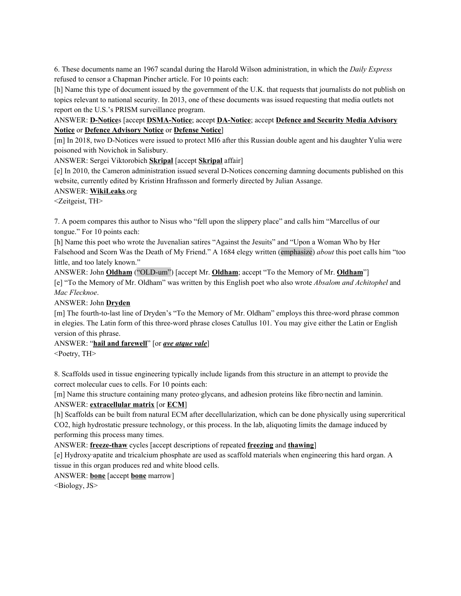6. These documents name an 1967 scandal during the Harold Wilson administration, in which the *Daily Express* refused to censor a Chapman Pincher article. For 10 points each:

[h] Name this type of document issued by the government of the U.K. that requests that journalists do not publish on topics relevant to national security. In 2013, one of these documents was issued requesting that media outlets not report on the U.S.'s PRISM surveillance program.

## ANSWER: **D-Notice**s [accept **DSMA-Notice**; accept **DA-Notice**; accept **Defence and Security Media Advisory Notice** or **Defence Advisory Notice** or **Defense Notice**]

[m] In 2018, two D-Notices were issued to protect MI6 after this Russian double agent and his daughter Yulia were poisoned with Novichok in Salisbury.

ANSWER: Sergei Viktorobich **Skripal** [accept **Skripal** affair]

[e] In 2010, the Cameron administration issued several D-Notices concerning damning documents published on this website, currently edited by Kristinn Hrafnsson and formerly directed by Julian Assange.

## ANSWER: **WikiLeaks**.org

<Zeitgeist, TH>

7. A poem compares this author to Nisus who "fell upon the slippery place" and calls him "Marcellus of our tongue." For 10 points each:

[h] Name this poet who wrote the Juvenalian satires "Against the Jesuits" and "Upon a Woman Who by Her Falsehood and Scorn Was the Death of My Friend." A 1684 elegy written (emphasize) *about* this poet calls him "too little, and too lately known."

ANSWER: John **Oldham** ("OLD-um") [accept Mr. **Oldham**; accept "To the Memory of Mr. **Oldham**"] [e] "To the Memory of Mr. Oldham" was written by this English poet who also wrote *Absalom and Achitophel* and *Mac Flecknoe*.

ANSWER: John **Dryden**

[m] The fourth-to-last line of Dryden's "To the Memory of Mr. Oldham" employs this three-word phrase common in elegies. The Latin form of this three-word phrase closes Catullus 101. You may give either the Latin or English version of this phrase.

## ANSWER: "**hail and farewell**" [or *ave atque vale*]

<Poetry, TH>

8. Scaffolds used in tissue engineering typically include ligands from this structure in an attempt to provide the correct molecular cues to cells. For 10 points each:

[m] Name this structure containing many proteo·glycans, and adhesion proteins like fibro·nectin and laminin. ANSWER: **extracellular matrix** [or **ECM**]

[h] Scaffolds can be built from natural ECM after decellularization, which can be done physically using supercritical CO2, high hydrostatic pressure technology, or this process. In the lab, aliquoting limits the damage induced by performing this process many times.

ANSWER: **freeze-thaw** cycles [accept descriptions of repeated **freezing** and **thawing**]

[e] Hydroxy·apatite and tricalcium phosphate are used as scaffold materials when engineering this hard organ. A tissue in this organ produces red and white blood cells.

ANSWER: **bone** [accept **bone** marrow]

<Biology, JS>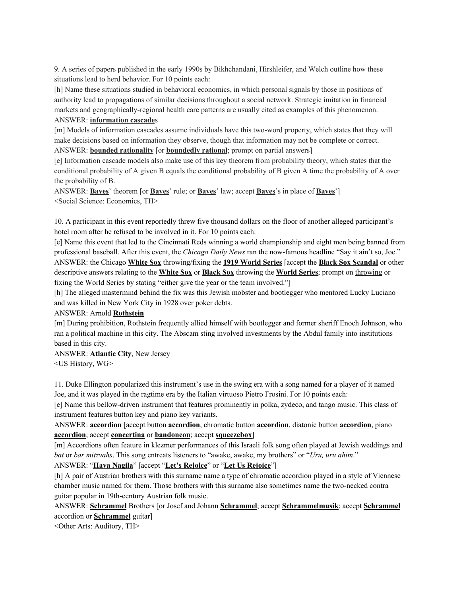9. A series of papers published in the early 1990s by Bikhchandani, Hirshleifer, and Welch outline how these situations lead to herd behavior. For 10 points each:

[h] Name these situations studied in behavioral economics, in which personal signals by those in positions of authority lead to propagations of similar decisions throughout a social network. Strategic imitation in financial markets and geographically-regional health care patterns are usually cited as examples of this phenomenon. ANSWER: **information cascade**s

[m] Models of information cascades assume individuals have this two-word property, which states that they will make decisions based on information they observe, though that information may not be complete or correct. ANSWER: **bounded rationality** [or **boundedly rational**; prompt on partial answers]

[e] Information cascade models also make use of this key theorem from probability theory, which states that the conditional probability of A given B equals the conditional probability of B given A time the probability of A over the probability of B.

ANSWER: **Bayes**' theorem [or **Bayes**' rule; or **Bayes**' law; accept **Bayes**'s in place of **Bayes**'] <Social Science: Economics, TH>

10. A participant in this event reportedly threw five thousand dollars on the floor of another alleged participant's hotel room after he refused to be involved in it. For 10 points each:

[e] Name this event that led to the Cincinnati Reds winning a world championship and eight men being banned from professional baseball. After this event, the *Chicago Daily News* ran the now-famous headline "Say it ain't so, Joe." ANSWER: the Chicago **White Sox** throwing/fixing the **1919 World Series** [accept the **Black Sox Scandal** or other descriptive answers relating to the **White Sox** or **Black Sox** throwing the **World Series**; prompt on throwing or fixing the World Series by stating "either give the year or the team involved."]

[h] The alleged mastermind behind the fix was this Jewish mobster and bootlegger who mentored Lucky Luciano and was killed in New York City in 1928 over poker debts.

#### ANSWER: Arnold **Rothstein**

[m] During prohibition, Rothstein frequently allied himself with bootlegger and former sheriff Enoch Johnson, who ran a political machine in this city. The Abscam sting involved investments by the Abdul family into institutions based in this city.

#### ANSWER: **Atlantic City**, New Jersey

<US History, WG>

11. Duke Ellington popularized this instrument's use in the swing era with a song named for a player of it named Joe, and it was played in the ragtime era by the Italian virtuoso Pietro Frosini. For 10 points each:

[e] Name this bellow-driven instrument that features prominently in polka, zydeco, and tango music. This class of instrument features button key and piano key variants.

ANSWER: **accordion** [accept button **accordion**, chromatic button **accordion**, diatonic button **accordion**, piano **accordion**; accept **concertina** or **bandoneon**; accept **squeezebox**]

[m] Accordions often feature in klezmer performances of this Israeli folk song often played at Jewish weddings and *bat* or *bar mitzvahs*. This song entreats listeners to "awake, awake, my brothers" or "*Uru, uru ahim*."

ANSWER: "**Hava Nagila**" [accept "**Let's Rejoice**" or "**Let Us Rejoice**"]

[h] A pair of Austrian brothers with this surname name a type of chromatic accordion played in a style of Viennese chamber music named for them. Those brothers with this surname also sometimes name the two-necked contra guitar popular in 19th-century Austrian folk music.

ANSWER: **Schrammel** Brothers [or Josef and Johann **Schrammel**; accept **Schrammelmusik**; accept **Schrammel** accordion or **Schrammel** guitar]

<Other Arts: Auditory, TH>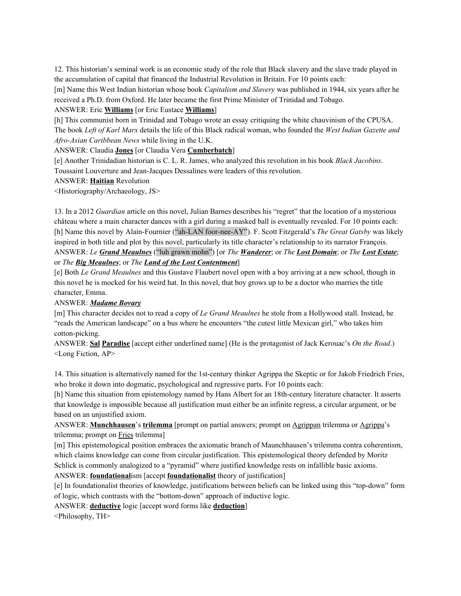12. This historian's seminal work is an economic study of the role that Black slavery and the slave trade played in the accumulation of capital that financed the Industrial Revolution in Britain. For 10 points each:

[m] Name this West Indian historian whose book *Capitalism and Slavery* was published in 1944, six years after he received a Ph.D. from Oxford. He later became the first Prime Minister of Trinidad and Tobago.

### ANSWER: Eric **Williams** [or Eric Eustace **Williams**]

[h] This communist born in Trinidad and Tobago wrote an essay critiquing the white chauvinism of the CPUSA. The book *Left of Karl Marx* details the life of this Black radical woman, who founded the *West Indian Gazette and Afro-Asian Caribbean News* while living in the U.K.

ANSWER: Claudia **Jones** [or Claudia Vera **Cumberbatch**]

[e] Another Trinidadian historian is C. L. R. James, who analyzed this revolution in his book *Black Jacobins*. Toussaint Louverture and Jean-Jacques Dessalines were leaders of this revolution.

ANSWER: **Haitian** Revolution

<Historiography/Archaeology, JS>

13. In a 2012 *Guardian* article on this novel, Julian Barnes describes his "regret" that the location of a mysterious château where a main character dances with a girl during a masked ball is eventually revealed. For 10 points each: [h] Name this novel by Alain-Fournier ("ah-LAN foor-nee-AY"). F. Scott Fitzgerald's *The Great Gatsby* was likely inspired in both title and plot by this novel, particularly its title character's relationship to its narrator François. ANSWER: *Le Grand Meaulnes* ("luh grawn mohn") [or *The Wanderer*; or *The Lost Domain*; or *The Lost Estate*; or *The Big Meaulnes*; or *The Land of the Lost Contentment*]

[e] Both *Le Grand Meaulnes* and this Gustave Flaubert novel open with a boy arriving at a new school, though in this novel he is mocked for his weird hat. In this novel, that boy grows up to be a doctor who marries the title character, Emma.

## ANSWER: *Madame Bovary*

[m] This character decides not to read a copy of *Le Grand Meaulnes* he stole from a Hollywood stall. Instead, he "reads the American landscape" on a bus where he encounters "the cutest little Mexican girl," who takes him cotton-picking.

ANSWER: **Sal Paradise** [accept either underlined name] (He is the protagonist of Jack Kerouac's *On the Road*.) <Long Fiction, AP>

14. This situation is alternatively named for the 1st-century thinker Agrippa the Skeptic or for Jakob Friedrich Fries, who broke it down into dogmatic, psychological and regressive parts. For 10 points each:

[h] Name this situation from epistemology named by Hans Albert for an 18th-century literature character. It asserts that knowledge is impossible because all justification must either be an infinite regress, a circular argument, or be based on an unjustified axiom.

ANSWER: **Munchhausen**'s **trilemma** [prompt on partial answers; prompt on Agrippan trilemma or Agrippa's trilemma; prompt on Fries trilemma]

[m] This epistemological position embraces the axiomatic branch of Maunchhausen's trilemma contra coherentism, which claims knowledge can come from circular justification. This epistemological theory defended by Moritz Schlick is commonly analogized to a "pyramid" where justified knowledge rests on infallible basic axioms. ANSWER: **foundational**ism [accept **foundationalist** theory of justification]

[e] In foundationalist theories of knowledge, justifications between beliefs can be linked using this "top-down" form of logic, which contrasts with the "bottom-down" approach of inductive logic.

ANSWER: **deductive** logic [accept word forms like **deduction**]

<Philosophy, TH>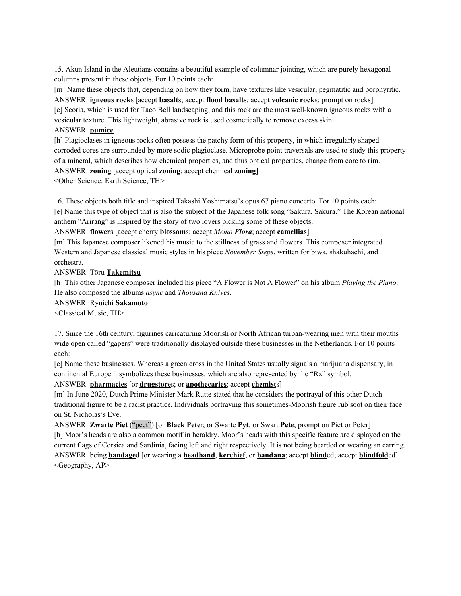15. Akun Island in the Aleutians contains a beautiful example of columnar jointing, which are purely hexagonal columns present in these objects. For 10 points each:

[m] Name these objects that, depending on how they form, have textures like vesicular, pegmatitic and porphyritic. ANSWER: **igneous rock**s [accept **basalt**s; accept **flood basalt**s; accept **volcanic rock**s; prompt on rocks] [e] Scoria, which is used for Taco Bell landscaping, and this rock are the most well-known igneous rocks with a vesicular texture. This lightweight, abrasive rock is used cosmetically to remove excess skin.

#### ANSWER: **pumice**

[h] Plagioclases in igneous rocks often possess the patchy form of this property, in which irregularly shaped corroded cores are surrounded by more sodic plagioclase. Microprobe point traversals are used to study this property of a mineral, which describes how chemical properties, and thus optical properties, change from core to rim. ANSWER: **zoning** [accept optical **zoning**; accept chemical **zoning**]

<Other Science: Earth Science, TH>

16. These objects both title and inspired Takashi Yoshimatsu's opus 67 piano concerto. For 10 points each: [e] Name this type of object that is also the subject of the Japanese folk song "Sakura, Sakura." The Korean national anthem "Arirang" is inspired by the story of two lovers picking some of these objects.

ANSWER: **flower**s [accept cherry **blossom**s; accept *Memo Flora*; accept **camellias**]

[m] This Japanese composer likened his music to the stillness of grass and flowers. This composer integrated Western and Japanese classical music styles in his piece *November Steps*, written for biwa, shakuhachi, and orchestra.

ANSWER: Tōru **Takemitsu**

[h] This other Japanese composer included his piece "A Flower is Not A Flower" on his album *Playing the Piano*. He also composed the albums *async* and *Thousand Knives*.

ANSWER: Ryuichi **Sakamoto**

<Classical Music, TH>

17. Since the 16th century, figurines caricaturing Moorish or North African turban-wearing men with their mouths wide open called "gapers" were traditionally displayed outside these businesses in the Netherlands. For 10 points each:

[e] Name these businesses. Whereas a green cross in the United States usually signals a marijuana dispensary, in continental Europe it symbolizes these businesses, which are also represented by the "Rx" symbol.

ANSWER: **pharmacies** [or **drugstore**s; or **apothecaries**; accept **chemist**s]

[m] In June 2020, Dutch Prime Minister Mark Rutte stated that he considers the portrayal of this other Dutch traditional figure to be a racist practice. Individuals portraying this sometimes-Moorish figure rub soot on their face on St. Nicholas's Eve.

ANSWER: **Zwarte Piet** ("peet") [or **Black Pete**r; or Swarte **Pyt**; or Swart **Pete**; prompt on Piet or Peter] [h] Moor's heads are also a common motif in heraldry. Moor's heads with this specific feature are displayed on the current flags of Corsica and Sardinia, facing left and right respectively. It is not being bearded or wearing an earring. ANSWER: being **bandage**d [or wearing a **headband**, **kerchief**, or **bandana**; accept **blind**ed; accept **blindfold**ed] <Geography, AP>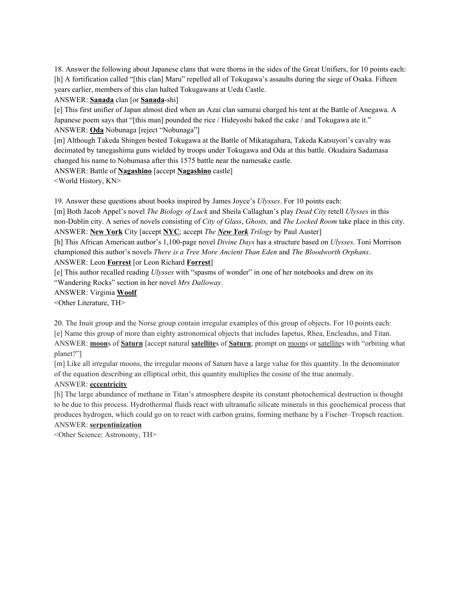18. Answer the following about Japanese clans that were thorns in the sides of the Great Unifiers, for 10 points each: [h] A fortification called "[this clan] Maru" repelled all of Tokugawa's assaults during the siege of Osaka. Fifteen years earlier, members of this clan halted Tokugawans at Ueda Castle.

ANSWER: **Sanada** clan [or **Sanada**-shi]

[e] This first unifier of Japan almost died when an Azai clan samurai charged his tent at the Battle of Anegawa. A Japanese poem says that "[this man] pounded the rice / Hideyoshi baked the cake / and Tokugawa ate it." ANSWER: **Oda** Nobunaga [reject "Nobunaga"]

[m] Although Takeda Shingen bested Tokugawa at the Battle of Mikatagahara, Takeda Katsuyori's cavalry was decimated by tanegashima guns wielded by troops under Tokugawa and Oda at this battle. Okudaira Sadamasa changed his name to Nobumasa after this 1575 battle near the namesake castle.

ANSWER: Battle of **Nagashino** [accept **Nagashino** castle]

<World History, KN>

19. Answer these questions about books inspired by James Joyce's *Ulysses*. For 10 points each:

[m] Both Jacob Appel's novel *The Biology of Luck* and Sheila Callaghan's play *Dead City* retell *Ulysses* in this non-Dublin city. A series of novels consisting of *City of Glass*, *Ghosts,* and *The Locked Room* take place in this city. ANSWER: **New York** City [accept **NYC**; accept *The New York Trilogy* by Paul Auster]

[h] This African American author's 1,100-page novel *Divine Days* has a structure based on *Ulysses*. Toni Morrison championed this author's novels *There is a Tree More Ancient Than Eden* and *The Bloodworth Orphans*. ANSWER: Leon **Forrest** [or Leon Richard **Forrest**]

[e] This author recalled reading *Ulysses* with "spasms of wonder" in one of her notebooks and drew on its "Wandering Rocks" section in her novel *Mrs Dalloway*.

ANSWER: Virginia **Woolf**

<Other Literature, TH>

20. The Inuit group and the Norse group contain irregular examples of this group of objects. For 10 points each: [e] Name this group of more than eighty astronomical objects that includes Iapetus, Rhea, Encleadus, and Titan. ANSWER: **moon**s of **Saturn** [accept natural **satellite**s of **Saturn**; prompt on moons or satellites with "orbiting what planet?"]

[m] Like all irregular moons, the irregular moons of Saturn have a large value for this quantity. In the denominator of the equation describing an elliptical orbit, this quantity multiplies the cosine of the true anomaly.

## ANSWER: **eccentricity**

[h] The large abundance of methane in Titan's atmosphere despite its constant photochemical destruction is thought to be due to this process. Hydrothermal fluids react with ultramafic silicate minerals in this geochemical process that produces hydrogen, which could go on to react with carbon grains, forming methane by a Fischer–Tropsch reaction. ANSWER: **serpentinization**

<Other Science: Astronomy, TH>